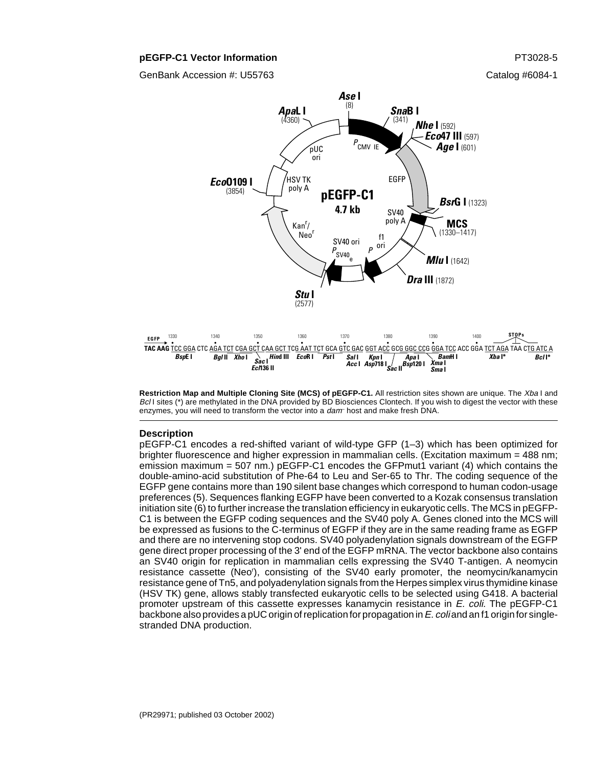#### **pEGFP-C1 Vector Information PT3028-5**

GenBank Accession #: U55763 Catalog #6084-1



**Restriction Map and Multiple Cloning Site (MCS) of pEGFP-C1.** All restriction sites shown are unique. The Xba I and Bcl I sites (\*) are methylated in the DNA provided by BD Biosciences Clontech. If you wish to digest the vector with these enzymes, you will need to transform the vector into a dam host and make fresh DNA.

#### **Description**

pEGFP-C1 encodes a red-shifted variant of wild-type GFP (1–3) which has been optimized for brighter fluorescence and higher expression in mammalian cells. (Excitation maximum = 488 nm; emission maximum = 507 nm.) pEGFP-C1 encodes the GFPmut1 variant (4) which contains the double-amino-acid substitution of Phe-64 to Leu and Ser-65 to Thr. The coding sequence of the EGFP gene contains more than 190 silent base changes which correspond to human codon-usage preferences (5). Sequences flanking EGFP have been converted to a Kozak consensus translation initiation site (6) to further increase the translation efficiency in eukaryotic cells. The MCS in pEGFP-C1 is between the EGFP coding sequences and the SV40 poly A. Genes cloned into the MCS will be expressed as fusions to the C-terminus of EGFP if they are in the same reading frame as EGFP and there are no intervening stop codons. SV40 polyadenylation signals downstream of the EGFP gene direct proper processing of the 3' end of the EGFP mRNA. The vector backbone also contains an SV40 origin for replication in mammalian cells expressing the SV40 T-antigen. A neomycin resistance cassette (Neo<sup>r</sup>), consisting of the SV40 early promoter, the neomycin/kanamycin resistance gene of Tn5, and polyadenylation signals from the Herpes simplex virus thymidine kinase (HSV TK) gene, allows stably transfected eukaryotic cells to be selected using G418. A bacterial promoter upstream of this cassette expresses kanamycin resistance in E. coli. The pEGFP-C1 backbone also provides a pUC origin of replication for propagation in  $E$ . coli and an f1 origin for singlestranded DNA production.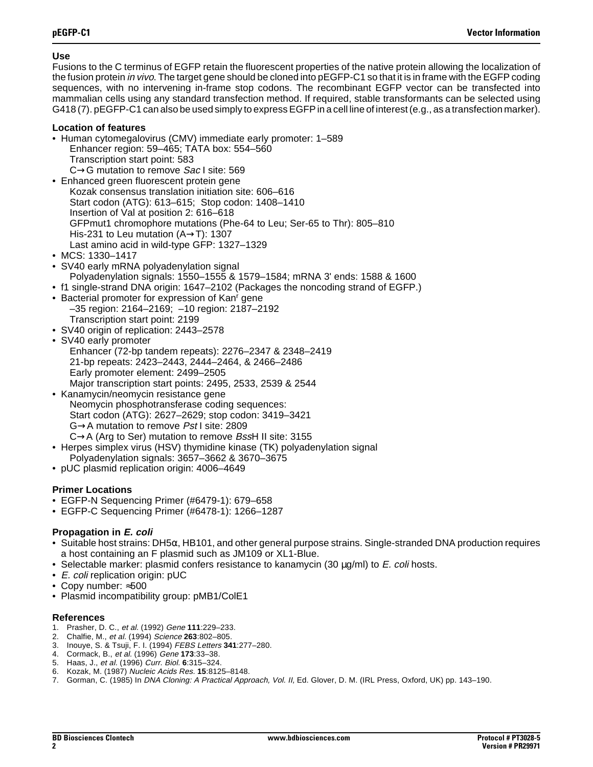## **Use**

Fusions to the C terminus of EGFP retain the fluorescent properties of the native protein allowing the localization of the fusion protein in vivo. The target gene should be cloned into pEGFP-C1 so that it is in frame with the EGFP coding sequences, with no intervening in-frame stop codons. The recombinant EGFP vector can be transfected into mammalian cells using any standard transfection method. If required, stable transformants can be selected using G418 (7). pEGFP-C1 can also be used simply to express EGFP in a cell line of interest (e.g., as a transfection marker).

## **Location of features**

- Human cytomegalovirus (CMV) immediate early promoter: 1–589 Enhancer region: 59–465; TATA box: 554–560 Transcription start point: 583 C→G mutation to remove Sac I site: 569
- Enhanced green fluorescent protein gene Kozak consensus translation initiation site: 606–616 Start codon (ATG): 613–615; Stop codon: 1408–1410 Insertion of Val at position 2: 616–618 GFPmut1 chromophore mutations (Phe-64 to Leu; Ser-65 to Thr): 805–810 His-231 to Leu mutation (A→T): 1307 Last amino acid in wild-type GFP: 1327–1329
- MCS: 1330–1417
- SV40 early mRNA polyadenylation signal Polyadenylation signals: 1550–1555 & 1579–1584; mRNA 3' ends: 1588 & 1600
- f1 single-strand DNA origin: 1647–2102 (Packages the noncoding strand of EGFP.)
- Bacterial promoter for expression of Kan' gene –35 region: 2164–2169; –10 region: 2187–2192 Transcription start point: 2199
- SV40 origin of replication: 2443–2578
- SV40 early promoter Enhancer (72-bp tandem repeats): 2276–2347 & 2348–2419 21-bp repeats: 2423–2443, 2444–2464, & 2466–2486 Early promoter element: 2499–2505 Major transcription start points: 2495, 2533, 2539 & 2544
- Kanamycin/neomycin resistance gene Neomycin phosphotransferase coding sequences: Start codon (ATG): 2627–2629; stop codon: 3419–3421 G→A mutation to remove Pst I site: 2809  $C\rightarrow A$  (Arg to Ser) mutation to remove BssH II site: 3155
- Herpes simplex virus (HSV) thymidine kinase (TK) polyadenylation signal Polyadenylation signals: 3657–3662 & 3670–3675
- pUC plasmid replication origin: 4006–4649

# **Primer Locations**

- EGFP-N Sequencing Primer (#6479-1): 679–658
- EGFP-C Sequencing Primer (#6478-1): 1266–1287

# **Propagation in E. coli**

- Suitable host strains: DH5 $\alpha$ , HB101, and other general purpose strains. Single-stranded DNA production requires a host containing an F plasmid such as JM109 or XL1-Blue.
- Selectable marker: plasmid confers resistance to kanamycin  $(30 \mu q/ml)$  to E. coli hosts.
- E. coli replication origin: pUC
- Copy number: ≈500
- Plasmid incompatibility group: pMB1/ColE1

### **References**

- 1. Prasher, D. C., et al. (1992) Gene **111**:229–233.
- 2. Chalfie, M., et al. (1994) Science **263**:802–805.
- 3. Inouye, S. & Tsuji, F. I. (1994) FEBS Letters **341**:277–280.
- 4. Cormack, B., et al. (1996) Gene **173**:33–38.
- 5. Haas, J., et al. (1996) Curr. Biol. **6**:315–324.
- 6. Kozak, M. (1987) Nucleic Acids Res. **15**:8125–8148.
- 7. Gorman, C. (1985) In DNA Cloning: A Practical Approach, Vol. II, Ed. Glover, D. M. (IRL Press, Oxford, UK) pp. 143–190.